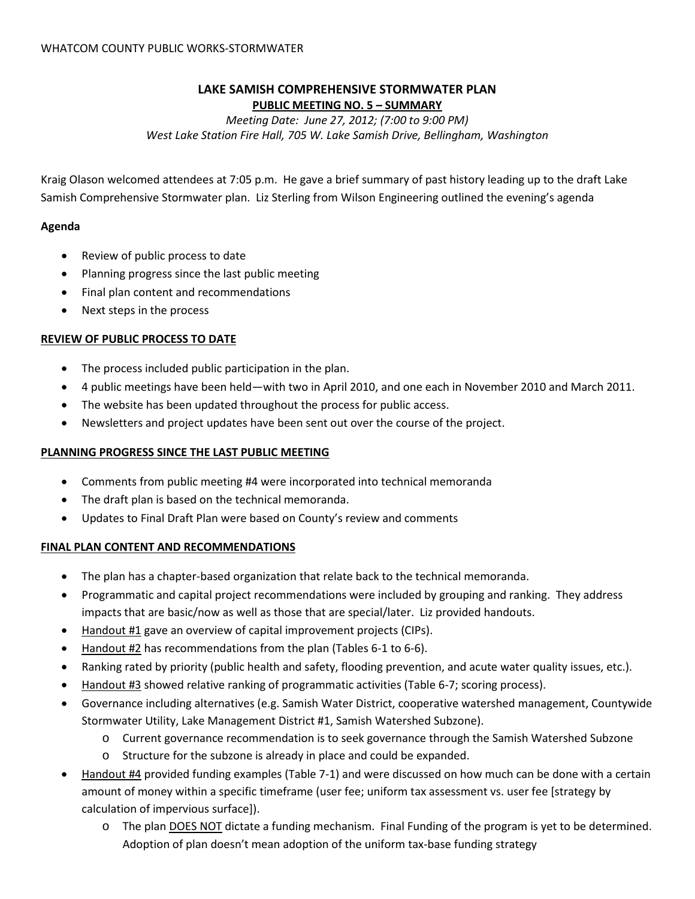# **LAKE SAMISH COMPREHENSIVE STORMWATER PLAN PUBLIC MEETING NO. 5 – SUMMARY**

*Meeting Date: June 27, 2012; (7:00 to 9:00 PM) West Lake Station Fire Hall, 705 W. Lake Samish Drive, Bellingham, Washington*

Kraig Olason welcomed attendees at 7:05 p.m. He gave a brief summary of past history leading up to the draft Lake Samish Comprehensive Stormwater plan. Liz Sterling from Wilson Engineering outlined the evening's agenda

# **Agenda**

- Review of public process to date
- Planning progress since the last public meeting
- Final plan content and recommendations
- Next steps in the process

# **REVIEW OF PUBLIC PROCESS TO DATE**

- The process included public participation in the plan.
- 4 public meetings have been held—with two in April 2010, and one each in November 2010 and March 2011.
- The website has been updated throughout the process for public access.
- Newsletters and project updates have been sent out over the course of the project.

### **PLANNING PROGRESS SINCE THE LAST PUBLIC MEETING**

- Comments from public meeting #4 were incorporated into technical memoranda
- The draft plan is based on the technical memoranda.
- Updates to Final Draft Plan were based on County's review and comments

#### **FINAL PLAN CONTENT AND RECOMMENDATIONS**

- The plan has a chapter-based organization that relate back to the technical memoranda.
- Programmatic and capital project recommendations were included by grouping and ranking. They address impacts that are basic/now as well as those that are special/later. Liz provided handouts.
- Handout #1 gave an overview of capital improvement projects (CIPs).
- Handout #2 has recommendations from the plan (Tables 6-1 to 6-6).
- Ranking rated by priority (public health and safety, flooding prevention, and acute water quality issues, etc.).
- Handout #3 showed relative ranking of programmatic activities (Table 6-7; scoring process).
- Governance including alternatives (e.g. Samish Water District, cooperative watershed management, Countywide Stormwater Utility, Lake Management District #1, Samish Watershed Subzone).
	- o Current governance recommendation is to seek governance through the Samish Watershed Subzone
	- o Structure for the subzone is already in place and could be expanded.
- Handout #4 provided funding examples (Table 7-1) and were discussed on how much can be done with a certain amount of money within a specific timeframe (user fee; uniform tax assessment vs. user fee [strategy by calculation of impervious surface]).
	- o The plan DOES NOT dictate a funding mechanism. Final Funding of the program is yet to be determined. Adoption of plan doesn't mean adoption of the uniform tax-base funding strategy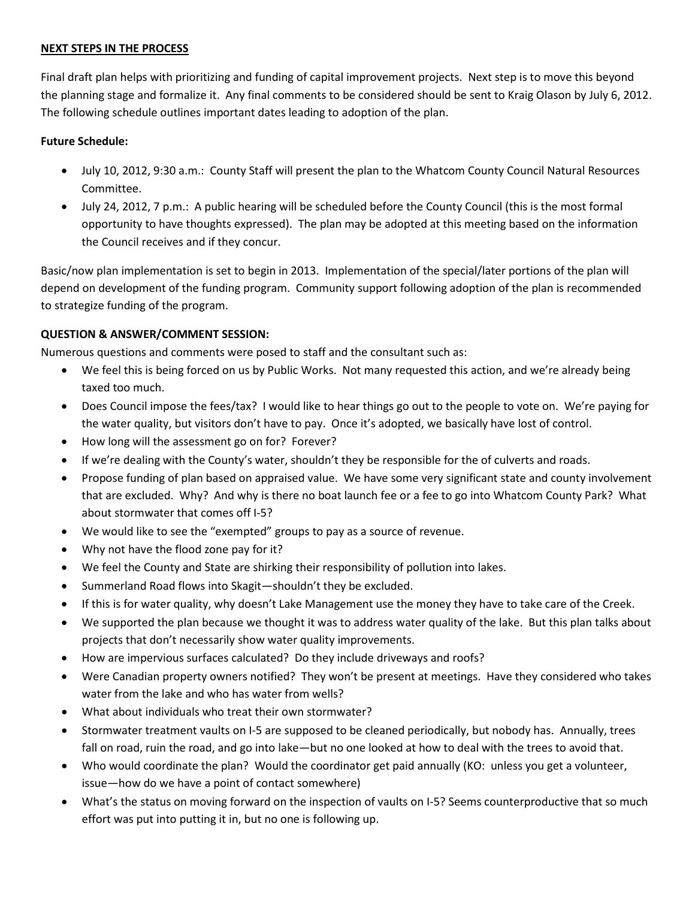#### **NEXT STEPS IN THE PROCESS**

Final draft plan helps with prioritizing and funding of capital improvement projects. Next step is to move this beyond the planning stage and formalize it. Any final comments to be considered should be sent to Kraig Olason by July 6, 2012. The following schedule outlines important dates leading to adoption of the plan.

# **Future Schedule:**

- July 10, 2012, 9:30 a.m.: County Staff will present the plan to the Whatcom County Council Natural Resources Committee.
- July 24, 2012, 7 p.m.: A public hearing will be scheduled before the County Council (this is the most formal opportunity to have thoughts expressed). The plan may be adopted at this meeting based on the information the Council receives and if they concur.

Basic/now plan implementation is set to begin in 2013. Implementation of the special/later portions of the plan will depend on development of the funding program. Community support following adoption of the plan is recommended to strategize funding of the program.

# **QUESTION & ANSWER/COMMENT SESSION:**

Numerous questions and comments were posed to staff and the consultant such as:

- We feel this is being forced on us by Public Works. Not many requested this action, and we're already being taxed too much.
- Does Council impose the fees/tax? I would like to hear things go out to the people to vote on. We're paying for the water quality, but visitors don't have to pay. Once it's adopted, we basically have lost of control.
- How long will the assessment go on for? Forever?
- If we're dealing with the County's water, shouldn't they be responsible for the of culverts and roads.
- Propose funding of plan based on appraised value. We have some very significant state and county involvement that are excluded. Why? And why is there no boat launch fee or a fee to go into Whatcom County Park? What about stormwater that comes off I-5?
- We would like to see the "exempted" groups to pay as a source of revenue.
- Why not have the flood zone pay for it?
- We feel the County and State are shirking their responsibility of pollution into lakes.
- Summerland Road flows into Skagit—shouldn't they be excluded.
- If this is for water quality, why doesn't Lake Management use the money they have to take care of the Creek.
- We supported the plan because we thought it was to address water quality of the lake. But this plan talks about projects that don't necessarily show water quality improvements.
- How are impervious surfaces calculated? Do they include driveways and roofs?
- Were Canadian property owners notified? They won't be present at meetings. Have they considered who takes water from the lake and who has water from wells?
- What about individuals who treat their own stormwater?
- Stormwater treatment vaults on I-5 are supposed to be cleaned periodically, but nobody has. Annually, trees fall on road, ruin the road, and go into lake—but no one looked at how to deal with the trees to avoid that.
- Who would coordinate the plan? Would the coordinator get paid annually (KO: unless you get a volunteer, issue—how do we have a point of contact somewhere)
- What's the status on moving forward on the inspection of vaults on I-5? Seems counterproductive that so much effort was put into putting it in, but no one is following up.